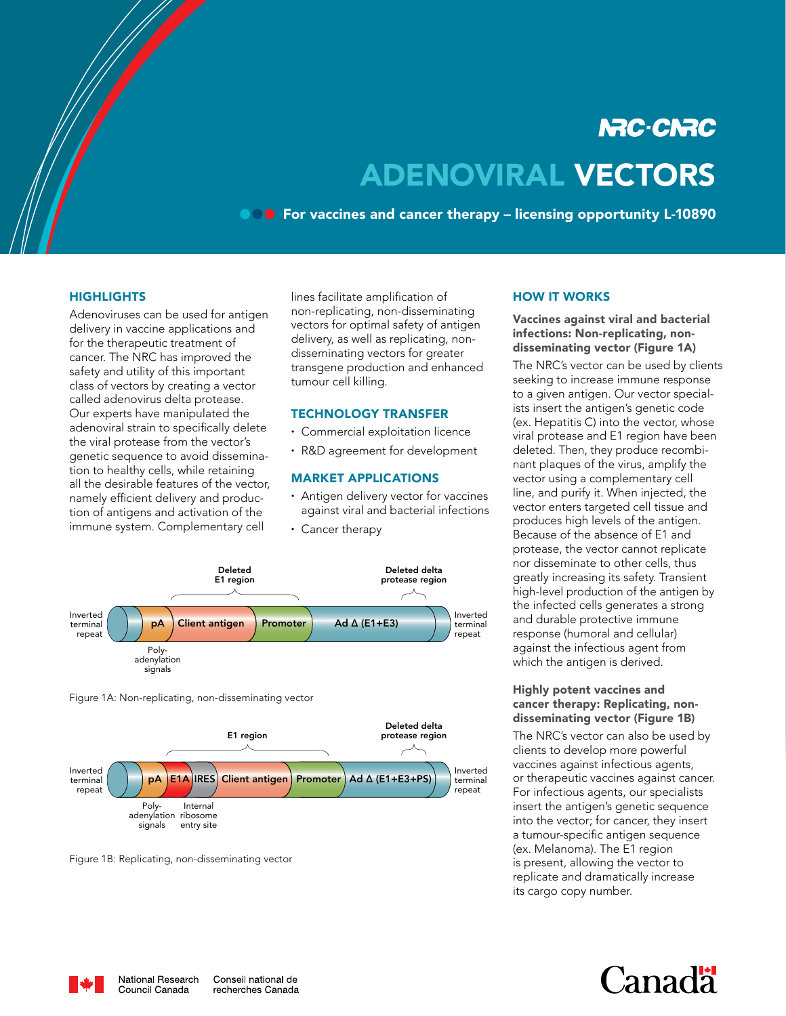# **NRC-CNRC** ADENOVIRAL VECTORS

**COO** For vaccines and cancer therapy – licensing opportunity L-10890

#### **HIGHLIGHTS**

Adenoviruses can be used for antigen delivery in vaccine applications and for the therapeutic treatment of cancer. The NRC has improved the safety and utility of this important class of vectors by creating a vector called adenovirus delta protease. Our experts have manipulated the adenoviral strain to specifically delete the viral protease from the vector's genetic sequence to avoid dissemination to healthy cells, while retaining all the desirable features of the vector, namely efficient delivery and production of antigens and activation of the immune system. Complementary cell

lines facilitate amplification of non-replicating, non-disseminating vectors for optimal safety of antigen delivery, as well as replicating, nondisseminating vectors for greater transgene production and enhanced tumour cell killing.

#### TECHNOLOGY TRANSFER

- ∙ Commercial exploitation licence
- ∙ R&D agreement for development

#### MARKET APPLICATIONS

- ∙ Antigen delivery vector for vaccines against viral and bacterial infections
- ∙ Cancer therapy



Figure 1A: Non-replicating, non-disseminating vector



Figure 1B: Replicating, non-disseminating vector

### HOW IT WORKS

Vaccines against viral and bacterial infections: Non-replicating, nondisseminating vector (Figure 1A)

The NRC's vector can be used by clients seeking to increase immune response to a given antigen. Our vector specialists insert the antigen's genetic code (ex. Hepatitis C) into the vector, whose viral protease and E1 region have been deleted. Then, they produce recombinant plaques of the virus, amplify the vector using a complementary cell line, and purify it. When injected, the vector enters targeted cell tissue and produces high levels of the antigen. Because of the absence of E1 and protease, the vector cannot replicate nor disseminate to other cells, thus greatly increasing its safety. Transient high-level production of the antigen by the infected cells generates a strong and durable protective immune response (humoral and cellular) against the infectious agent from which the antigen is derived.

### Highly potent vaccines and cancer therapy: Replicating, nondisseminating vector (Figure 1B)

The NRC's vector can also be used by clients to develop more powerful vaccines against infectious agents, or therapeutic vaccines against cancer. For infectious agents, our specialists insert the antigen's genetic sequence into the vector; for cancer, they insert a tumour-specific antigen sequence (ex. Melanoma). The E1 region is present, allowing the vector to replicate and dramatically increase its cargo copy number.